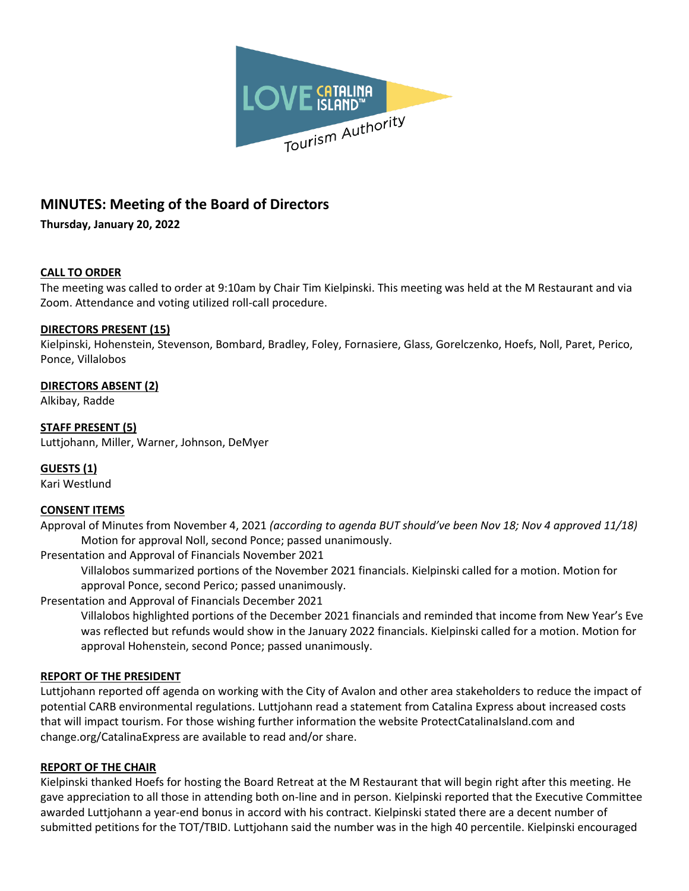

# **MINUTES: Meeting of the Board of Directors**

**Thursday, January 20, 2022**

#### **CALL TO ORDER**

The meeting was called to order at 9:10am by Chair Tim Kielpinski. This meeting was held at the M Restaurant and via Zoom. Attendance and voting utilized roll-call procedure.

#### **DIRECTORS PRESENT (15)**

Kielpinski, Hohenstein, Stevenson, Bombard, Bradley, Foley, Fornasiere, Glass, Gorelczenko, Hoefs, Noll, Paret, Perico, Ponce, Villalobos

# **DIRECTORS ABSENT (2)**

Alkibay, Radde

# **STAFF PRESENT (5)**

Luttjohann, Miller, Warner, Johnson, DeMyer

#### **GUESTS (1)**

Kari Westlund

#### **CONSENT ITEMS**

Approval of Minutes from November 4, 2021 *(according to agenda BUT should've been Nov 18; Nov 4 approved 11/18)* Motion for approval Noll, second Ponce; passed unanimously.

Presentation and Approval of Financials November 2021

Villalobos summarized portions of the November 2021 financials. Kielpinski called for a motion. Motion for approval Ponce, second Perico; passed unanimously.

Presentation and Approval of Financials December 2021

Villalobos highlighted portions of the December 2021 financials and reminded that income from New Year's Eve was reflected but refunds would show in the January 2022 financials. Kielpinski called for a motion. Motion for approval Hohenstein, second Ponce; passed unanimously.

#### **REPORT OF THE PRESIDENT**

Luttjohann reported off agenda on working with the City of Avalon and other area stakeholders to reduce the impact of potential CARB environmental regulations. Luttjohann read a statement from Catalina Express about increased costs that will impact tourism. For those wishing further information the website ProtectCatalinaIsland.com and change.org/CatalinaExpress are available to read and/or share.

#### **REPORT OF THE CHAIR**

Kielpinski thanked Hoefs for hosting the Board Retreat at the M Restaurant that will begin right after this meeting. He gave appreciation to all those in attending both on-line and in person. Kielpinski reported that the Executive Committee awarded Luttjohann a year-end bonus in accord with his contract. Kielpinski stated there are a decent number of submitted petitions for the TOT/TBID. Luttjohann said the number was in the high 40 percentile. Kielpinski encouraged